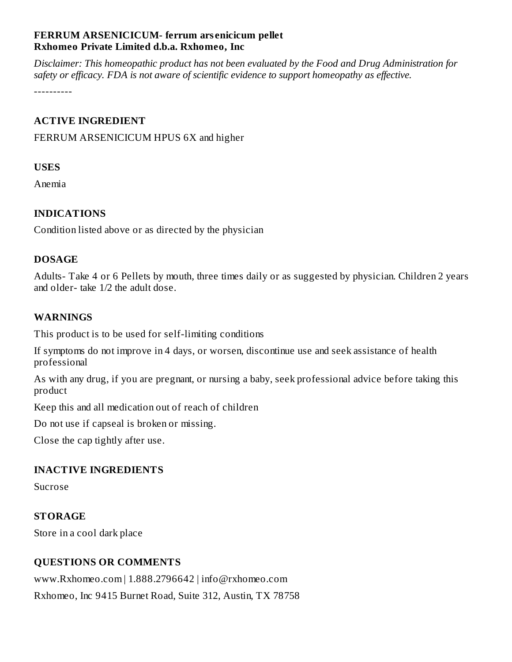# **FERRUM ARSENICICUM- ferrum ars enicicum pellet Rxhomeo Private Limited d.b.a. Rxhomeo, Inc**

*Disclaimer: This homeopathic product has not been evaluated by the Food and Drug Administration for safety or efficacy. FDA is not aware of scientific evidence to support homeopathy as effective.*

----------

### **ACTIVE INGREDIENT**

FERRUM ARSENICICUM HPUS 6X and higher

### **USES**

Anemia

# **INDICATIONS**

Condition listed above or as directed by the physician

### **DOSAGE**

Adults- Take 4 or 6 Pellets by mouth, three times daily or as suggested by physician. Children 2 years and older- take 1/2 the adult dose.

# **WARNINGS**

This product is to be used for self-limiting conditions

If symptoms do not improve in 4 days, or worsen, discontinue use and seek assistance of health professional

As with any drug, if you are pregnant, or nursing a baby, seek professional advice before taking this product

Keep this and all medication out of reach of children

Do not use if capseal is broken or missing.

Close the cap tightly after use.

#### **INACTIVE INGREDIENTS**

Sucrose

#### **STORAGE**

Store in a cool dark place

# **QUESTIONS OR COMMENTS**

www.Rxhomeo.com | 1.888.2796642 | info@rxhomeo.com Rxhomeo, Inc 9415 Burnet Road, Suite 312, Austin, TX 78758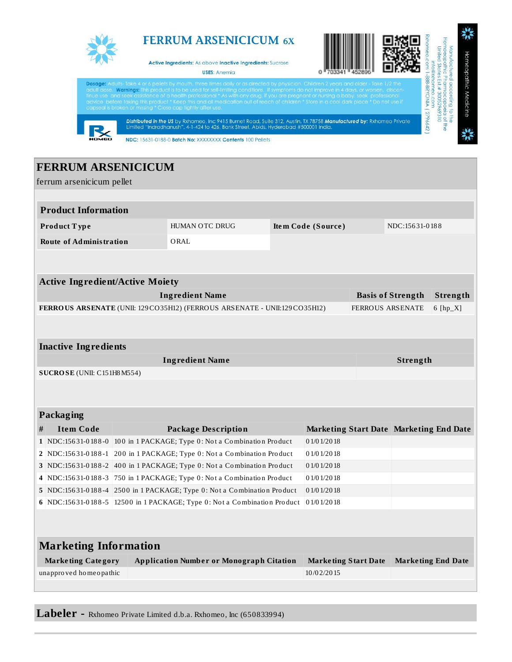

**Labeler -** Rxhomeo Private Limited d.b.a. Rxhomeo, Inc (650833994)